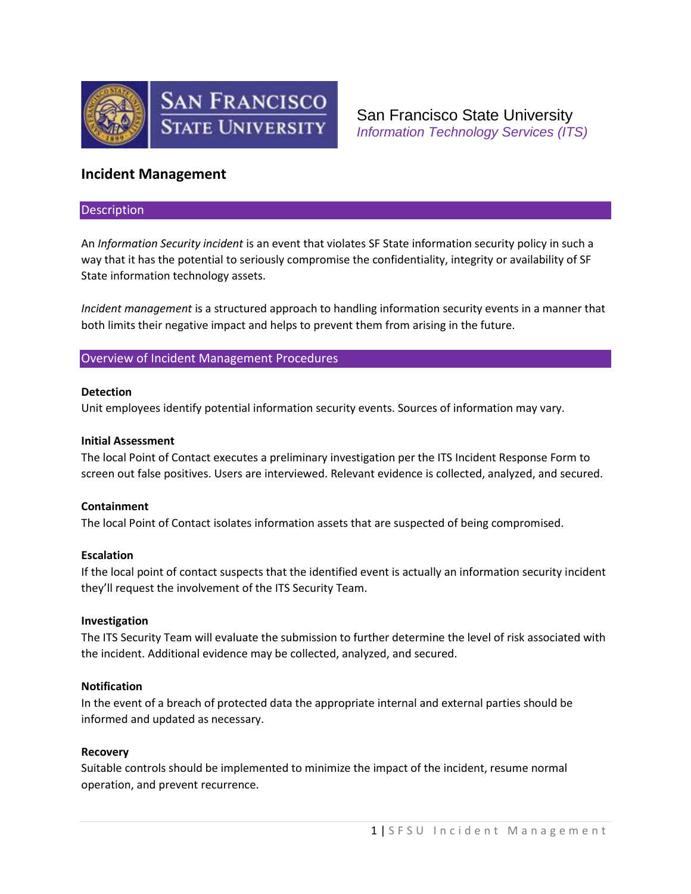

San Francisco State University *Information Technology Services (ITS)*

# **Incident Management**

### Description

An *Information Security incident* is an event that violates SF State information security policy in such a way that it has the potential to seriously compromise the confidentiality, integrity or availability of SF State information technology assets.

*Incident management* is a structured approach to handling information security events in a manner that both limits their negative impact and helps to prevent them from arising in the future.

# Overview of Incident Management Procedures

## **Detection**

Unit employees identify potential information security events. Sources of information may vary.

#### **Initial Assessment**

The local Point of Contact executes a preliminary investigation per the ITS Incident Response Form to screen out false positives. Users are interviewed. Relevant evidence is collected, analyzed, and secured.

# **Containment**

The local Point of Contact isolates information assets that are suspected of being compromised.

#### **Escalation**

If the local point of contact suspects that the identified event is actually an information security incident they'll request the involvement of the ITS Security Team.

#### **Investigation**

The ITS Security Team will evaluate the submission to further determine the level of risk associated with the incident. Additional evidence may be collected, analyzed, and secured.

#### **Notification**

In the event of a breach of protected data the appropriate internal and external parties should be informed and updated as necessary.

# **Recovery**

Suitable controls should be implemented to minimize the impact of the incident, resume normal operation, and prevent recurrence.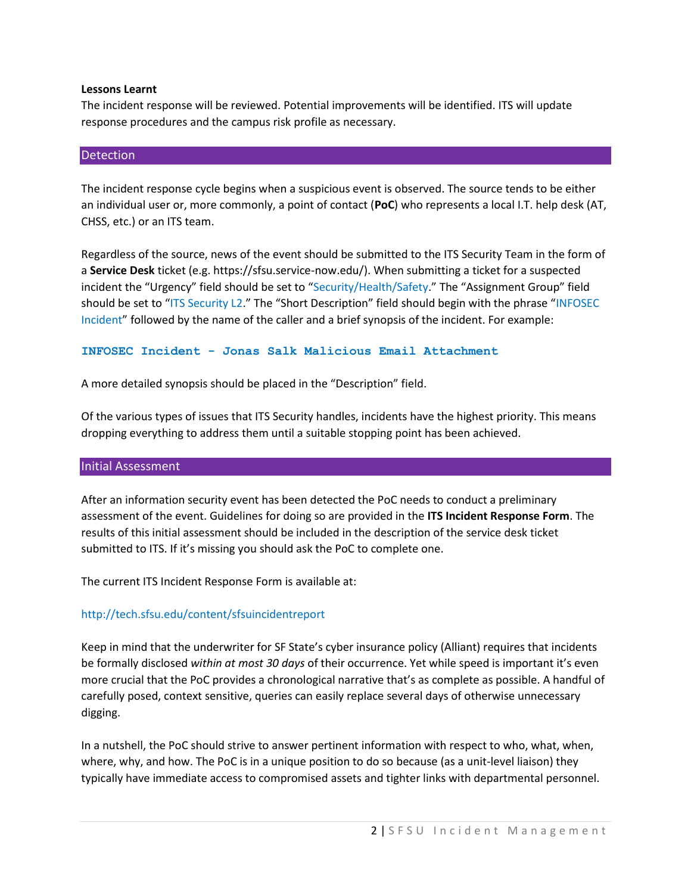## **Lessons Learnt**

The incident response will be reviewed. Potential improvements will be identified. ITS will update response procedures and the campus risk profile as necessary.

## **Detection**

The incident response cycle begins when a suspicious event is observed. The source tends to be either an individual user or, more commonly, a point of contact (**PoC**) who represents a local I.T. help desk (AT, CHSS, etc.) or an ITS team.

Regardless of the source, news of the event should be submitted to the ITS Security Team in the form of a **Service Desk** ticket (e.g. https://sfsu.service-now.edu/). When submitting a ticket for a suspected incident the "Urgency" field should be set to "Security/Health/Safety." The "Assignment Group" field should be set to "ITS Security L2." The "Short Description" field should begin with the phrase "INFOSEC Incident" followed by the name of the caller and a brief synopsis of the incident. For example:

### **INFOSEC Incident - Jonas Salk Malicious Email Attachment**

A more detailed synopsis should be placed in the "Description" field.

Of the various types of issues that ITS Security handles, incidents have the highest priority. This means dropping everything to address them until a suitable stopping point has been achieved.

#### Initial Assessment

After an information security event has been detected the PoC needs to conduct a preliminary assessment of the event. Guidelines for doing so are provided in the **ITS Incident Response Form**. The results of this initial assessment should be included in the description of the service desk ticket submitted to ITS. If it's missing you should ask the PoC to complete one.

The current ITS Incident Response Form is available at:

# http://tech.sfsu.edu/content/sfsuincidentreport

Keep in mind that the underwriter for SF State's cyber insurance policy (Alliant) requires that incidents be formally disclosed *within at most 30 days* of their occurrence. Yet while speed is important it's even more crucial that the PoC provides a chronological narrative that's as complete as possible. A handful of carefully posed, context sensitive, queries can easily replace several days of otherwise unnecessary digging.

In a nutshell, the PoC should strive to answer pertinent information with respect to who, what, when, where, why, and how. The PoC is in a unique position to do so because (as a unit-level liaison) they typically have immediate access to compromised assets and tighter links with departmental personnel.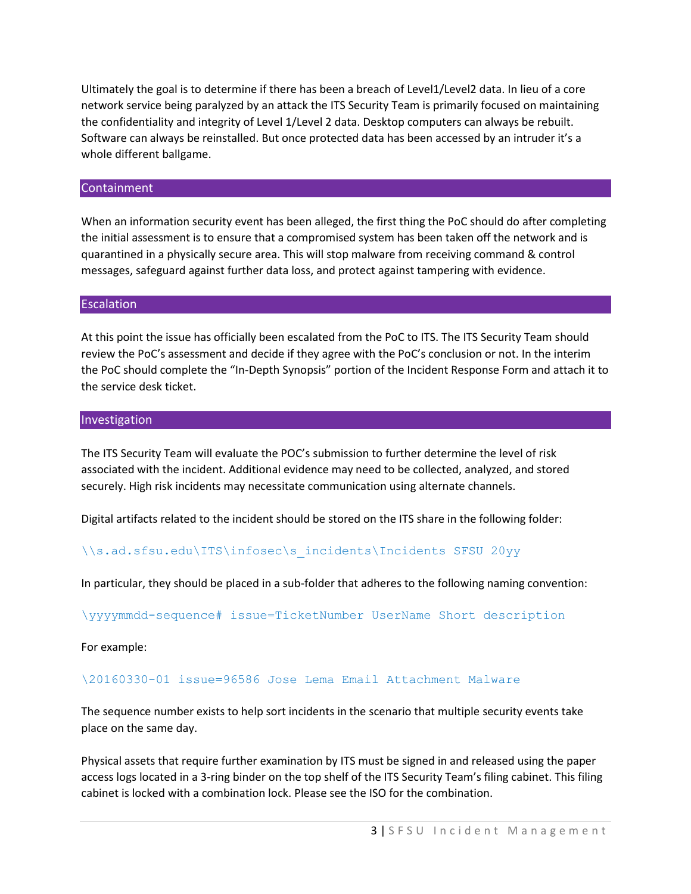Ultimately the goal is to determine if there has been a breach of Level1/Level2 data. In lieu of a core network service being paralyzed by an attack the ITS Security Team is primarily focused on maintaining the confidentiality and integrity of Level 1/Level 2 data. Desktop computers can always be rebuilt. Software can always be reinstalled. But once protected data has been accessed by an intruder it's a whole different ballgame.

# Containment

When an information security event has been alleged, the first thing the PoC should do after completing the initial assessment is to ensure that a compromised system has been taken off the network and is quarantined in a physically secure area. This will stop malware from receiving command & control messages, safeguard against further data loss, and protect against tampering with evidence.

# **Escalation**

At this point the issue has officially been escalated from the PoC to ITS. The ITS Security Team should review the PoC's assessment and decide if they agree with the PoC's conclusion or not. In the interim the PoC should complete the "In-Depth Synopsis" portion of the Incident Response Form and attach it to the service desk ticket.

# Investigation

The ITS Security Team will evaluate the POC's submission to further determine the level of risk associated with the incident. Additional evidence may need to be collected, analyzed, and stored securely. High risk incidents may necessitate communication using alternate channels.

Digital artifacts related to the incident should be stored on the ITS share in the following folder:

# \\s.ad.sfsu.edu\ITS\infosec\s\_incidents\Incidents SFSU 20yy

In particular, they should be placed in a sub-folder that adheres to the following naming convention:

\yyyymmdd-sequence# issue=TicketNumber UserName Short description

For example:

# \20160330-01 issue=96586 Jose Lema Email Attachment Malware

The sequence number exists to help sort incidents in the scenario that multiple security events take place on the same day.

Physical assets that require further examination by ITS must be signed in and released using the paper access logs located in a 3-ring binder on the top shelf of the ITS Security Team's filing cabinet. This filing cabinet is locked with a combination lock. Please see the ISO for the combination.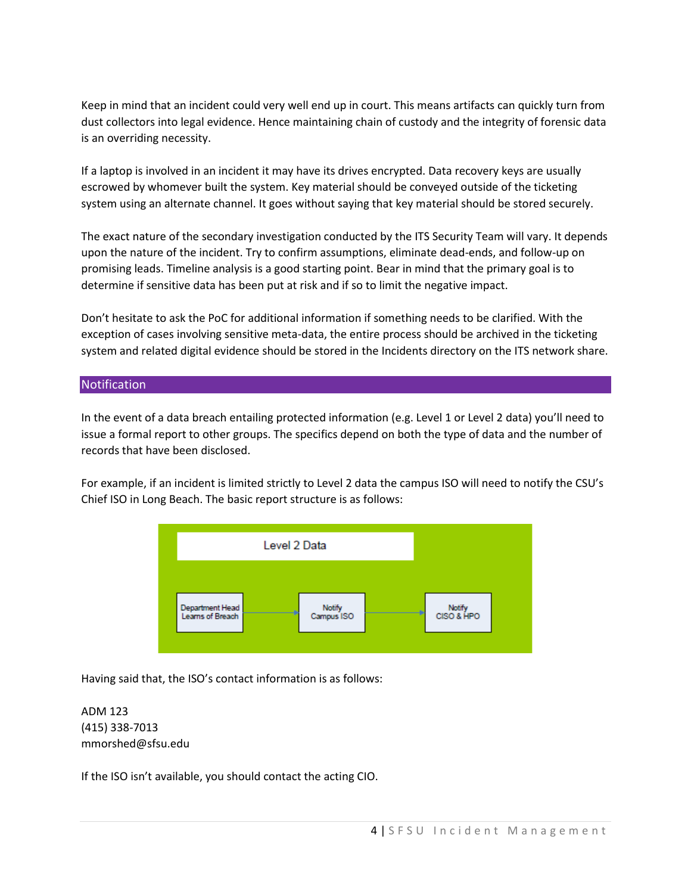Keep in mind that an incident could very well end up in court. This means artifacts can quickly turn from dust collectors into legal evidence. Hence maintaining chain of custody and the integrity of forensic data is an overriding necessity.

If a laptop is involved in an incident it may have its drives encrypted. Data recovery keys are usually escrowed by whomever built the system. Key material should be conveyed outside of the ticketing system using an alternate channel. It goes without saying that key material should be stored securely.

The exact nature of the secondary investigation conducted by the ITS Security Team will vary. It depends upon the nature of the incident. Try to confirm assumptions, eliminate dead-ends, and follow-up on promising leads. Timeline analysis is a good starting point. Bear in mind that the primary goal is to determine if sensitive data has been put at risk and if so to limit the negative impact.

Don't hesitate to ask the PoC for additional information if something needs to be clarified. With the exception of cases involving sensitive meta-data, the entire process should be archived in the ticketing system and related digital evidence should be stored in the Incidents directory on the ITS network share.

# **Notification**

In the event of a data breach entailing protected information (e.g. Level 1 or Level 2 data) you'll need to issue a formal report to other groups. The specifics depend on both the type of data and the number of records that have been disclosed.

For example, if an incident is limited strictly to Level 2 data the campus ISO will need to notify the CSU's Chief ISO in Long Beach. The basic report structure is as follows:



Having said that, the ISO's contact information is as follows:

ADM 123 (415) 338-7013 mmorshed@sfsu.edu

If the ISO isn't available, you should contact the acting CIO.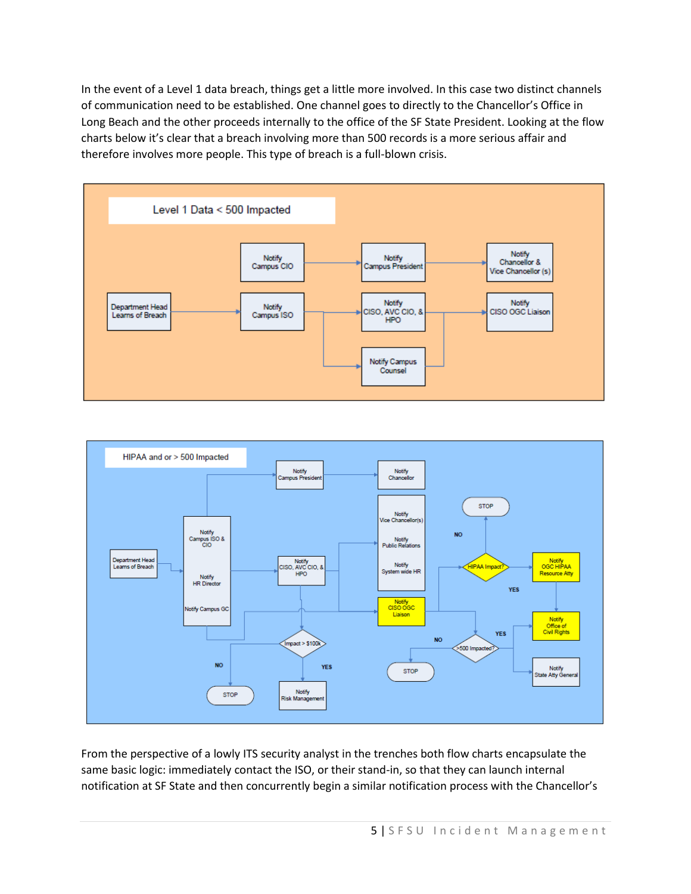In the event of a Level 1 data breach, things get a little more involved. In this case two distinct channels of communication need to be established. One channel goes to directly to the Chancellor's Office in Long Beach and the other proceeds internally to the office of the SF State President. Looking at the flow charts below it's clear that a breach involving more than 500 records is a more serious affair and therefore involves more people. This type of breach is a full-blown crisis.





From the perspective of a lowly ITS security analyst in the trenches both flow charts encapsulate the same basic logic: immediately contact the ISO, or their stand-in, so that they can launch internal notification at SF State and then concurrently begin a similar notification process with the Chancellor's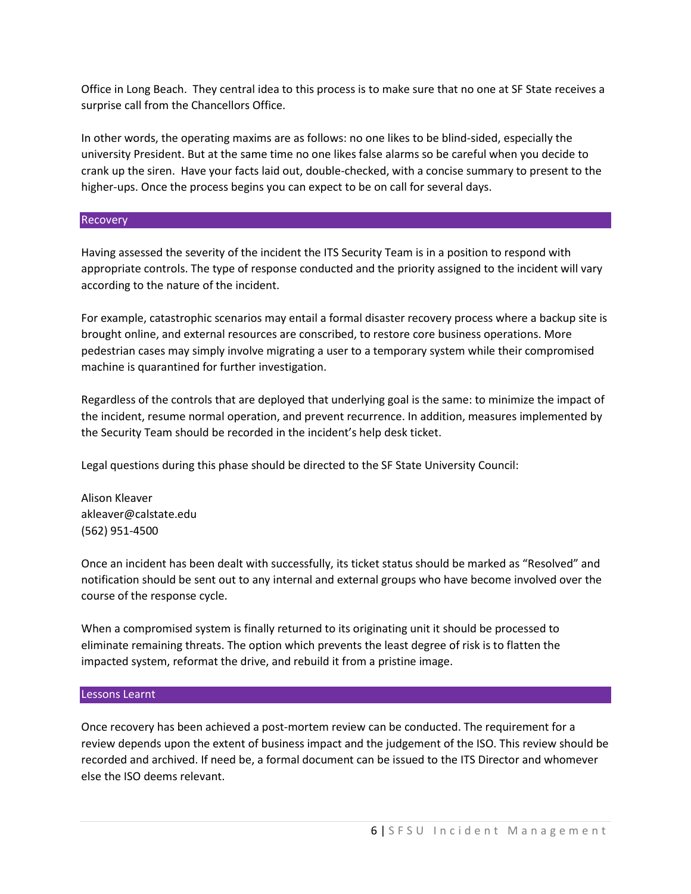Office in Long Beach. They central idea to this process is to make sure that no one at SF State receives a surprise call from the Chancellors Office.

In other words, the operating maxims are as follows: no one likes to be blind-sided, especially the university President. But at the same time no one likes false alarms so be careful when you decide to crank up the siren. Have your facts laid out, double-checked, with a concise summary to present to the higher-ups. Once the process begins you can expect to be on call for several days.

## Recovery

Having assessed the severity of the incident the ITS Security Team is in a position to respond with appropriate controls. The type of response conducted and the priority assigned to the incident will vary according to the nature of the incident.

For example, catastrophic scenarios may entail a formal disaster recovery process where a backup site is brought online, and external resources are conscribed, to restore core business operations. More pedestrian cases may simply involve migrating a user to a temporary system while their compromised machine is quarantined for further investigation.

Regardless of the controls that are deployed that underlying goal is the same: to minimize the impact of the incident, resume normal operation, and prevent recurrence. In addition, measures implemented by the Security Team should be recorded in the incident's help desk ticket.

Legal questions during this phase should be directed to the SF State University Council:

Alison Kleaver akleaver@calstate.edu (562) 951-4500

Once an incident has been dealt with successfully, its ticket status should be marked as "Resolved" and notification should be sent out to any internal and external groups who have become involved over the course of the response cycle.

When a compromised system is finally returned to its originating unit it should be processed to eliminate remaining threats. The option which prevents the least degree of risk is to flatten the impacted system, reformat the drive, and rebuild it from a pristine image.

#### Lessons Learnt

Once recovery has been achieved a post-mortem review can be conducted. The requirement for a review depends upon the extent of business impact and the judgement of the ISO. This review should be recorded and archived. If need be, a formal document can be issued to the ITS Director and whomever else the ISO deems relevant.